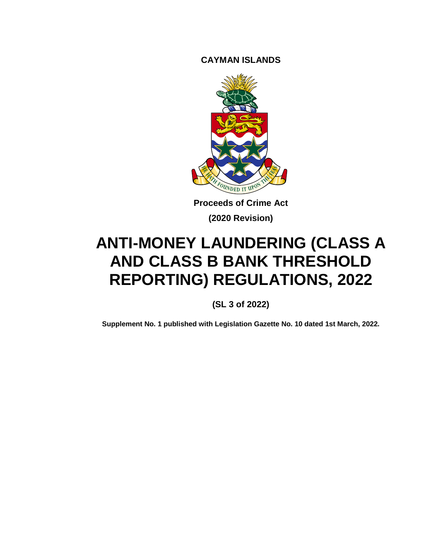**CAYMAN ISLANDS**



**Proceeds of Crime Act (2020 Revision)**

# **ANTI-MONEY LAUNDERING (CLASS A AND CLASS B BANK THRESHOLD REPORTING) REGULATIONS, 2022**

**(SL 3 of 2022)**

**Supplement No. 1 published with Legislation Gazette No. 10 dated 1st March, 2022.**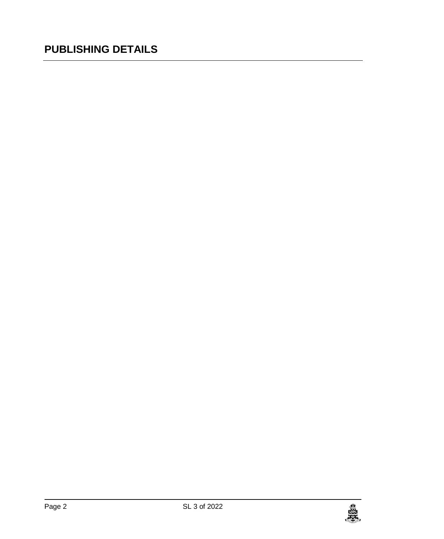### **PUBLISHING DETAILS**

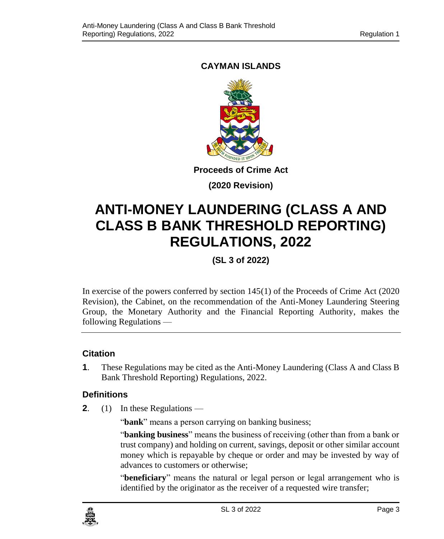#### **CAYMAN ISLANDS**



**Proceeds of Crime Act**

**(2020 Revision)**

## **ANTI-MONEY LAUNDERING (CLASS A AND CLASS B BANK THRESHOLD REPORTING) REGULATIONS, 2022**

**(SL 3 of 2022)**

In exercise of the powers conferred by section 145(1) of the Proceeds of Crime Act (2020 Revision), the Cabinet, on the recommendation of the Anti-Money Laundering Steering Group, the Monetary Authority and the Financial Reporting Authority, makes the following Regulations —

#### **1. Citation**

**1**. These Regulations may be cited as the Anti-Money Laundering (Class A and Class B Bank Threshold Reporting) Regulations, 2022.

#### **2. Definitions**

**2**. (1) In these Regulations —

"**bank**" means a person carrying on banking business;

"**banking business**" means the business of receiving (other than from a bank or trust company) and holding on current, savings, deposit or other similar account money which is repayable by cheque or order and may be invested by way of advances to customers or otherwise;

"**beneficiary**" means the natural or legal person or legal arrangement who is identified by the originator as the receiver of a requested wire transfer;

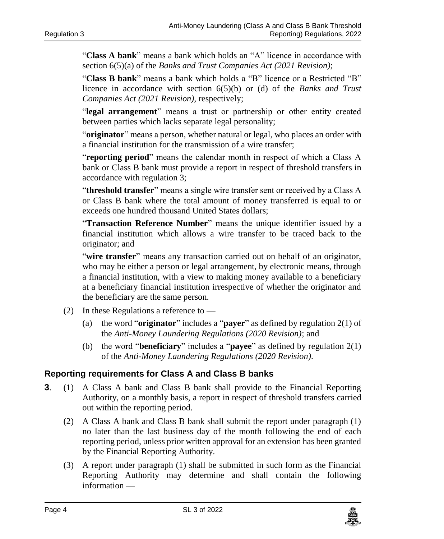"**Class A bank**" means a bank which holds an "A" licence in accordance with section 6(5)(a) of the *Banks and Trust Companies Act (2021 Revision)*;

"**Class B bank**" means a bank which holds a "B" licence or a Restricted "B" licence in accordance with section 6(5)(b) or (d) of the *Banks and Trust Companies Act (2021 Revision)*, respectively;

"**legal arrangement**" means a trust or partnership or other entity created between parties which lacks separate legal personality;

"**originator**" means a person, whether natural or legal, who places an order with a financial institution for the transmission of a wire transfer;

"**reporting period**" means the calendar month in respect of which a Class A bank or Class B bank must provide a report in respect of threshold transfers in accordance with regulation 3;

"**threshold transfer**" means a single wire transfer sent or received by a Class A or Class B bank where the total amount of money transferred is equal to or exceeds one hundred thousand United States dollars;

"**Transaction Reference Number**" means the unique identifier issued by a financial institution which allows a wire transfer to be traced back to the originator; and

"**wire transfer**" means any transaction carried out on behalf of an originator, who may be either a person or legal arrangement, by electronic means, through a financial institution, with a view to making money available to a beneficiary at a beneficiary financial institution irrespective of whether the originator and the beneficiary are the same person.

- (2) In these Regulations a reference to  $-$ 
	- (a) the word "**originator**" includes a "**payer**" as defined by regulation 2(1) of the *Anti-Money Laundering Regulations (2020 Revision)*; and
	- (b) the word "**beneficiary**" includes a "**payee**" as defined by regulation 2(1) of the *Anti-Money Laundering Regulations (2020 Revision).*

#### **3. Reporting requirements for Class A and Class B banks**

- **3**. (1) A Class A bank and Class B bank shall provide to the Financial Reporting Authority, on a monthly basis, a report in respect of threshold transfers carried out within the reporting period.
	- (2) A Class A bank and Class B bank shall submit the report under paragraph (1) no later than the last business day of the month following the end of each reporting period, unless prior written approval for an extension has been granted by the Financial Reporting Authority.
	- (3) A report under paragraph (1) shall be submitted in such form as the Financial Reporting Authority may determine and shall contain the following information —

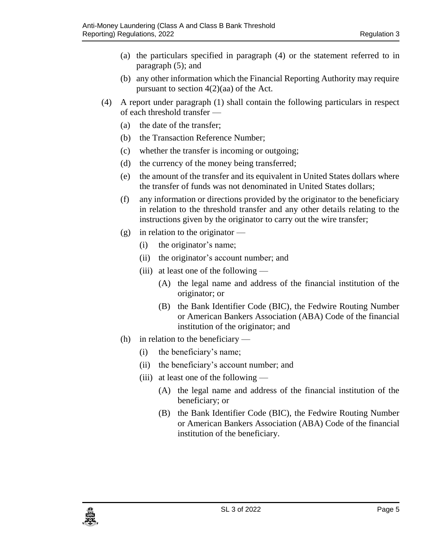- (a) the particulars specified in paragraph (4) or the statement referred to in paragraph (5); and
- (b) any other information which the Financial Reporting Authority may require pursuant to section 4(2)(aa) of the Act.
- (4) A report under paragraph (1) shall contain the following particulars in respect of each threshold transfer —
	- (a) the date of the transfer;
	- (b) the Transaction Reference Number;
	- (c) whether the transfer is incoming or outgoing;
	- (d) the currency of the money being transferred;
	- (e) the amount of the transfer and its equivalent in United States dollars where the transfer of funds was not denominated in United States dollars;
	- (f) any information or directions provided by the originator to the beneficiary in relation to the threshold transfer and any other details relating to the instructions given by the originator to carry out the wire transfer;
	- (g) in relation to the originator
		- (i) the originator's name;
		- (ii) the originator's account number; and
		- (iii) at least one of the following
			- (A) the legal name and address of the financial institution of the originator; or
			- (B) the Bank Identifier Code (BIC), the Fedwire Routing Number or American Bankers Association (ABA) Code of the financial institution of the originator; and
	- (h) in relation to the beneficiary
		- (i) the beneficiary's name;
		- (ii) the beneficiary's account number; and
		- (iii) at least one of the following  $-$ 
			- (A) the legal name and address of the financial institution of the beneficiary; or
			- (B) the Bank Identifier Code (BIC), the Fedwire Routing Number or American Bankers Association (ABA) Code of the financial institution of the beneficiary.